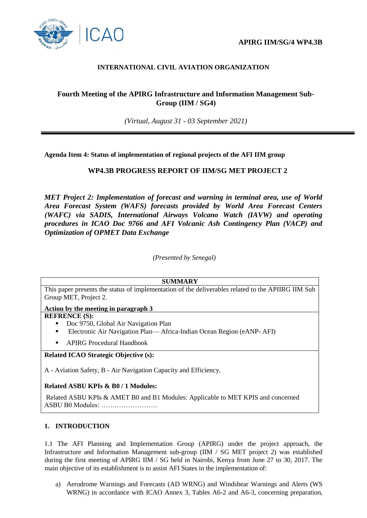

## **INTERNATIONAL CIVIL AVIATION ORGANIZATION**

# **Fourth Meeting of the APIRG Infrastructure and Information Management Sub-Group (IIM / SG4)**

*(Virtual, August 31 - 03 September 2021)*

**Agenda Item 4: Status of implementation of regional projects of the AFI IIM group**

## **WP4.3B PROGRESS REPORT OF IIM/SG MET PROJECT 2**

*MET Project 2: Implementation of forecast and warning in terminal area, use of World Area Forecast System (WAFS) forecasts provided by World Area Forecast Centers (WAFC) via SADIS, International Airways Volcano Watch (IAVW) and operating procedures in ICAO Doc 9766 and AFI Volcanic Ash Contingency Plan (VACP) and Optimization of OPMET Data Exchange*

*(Presented by Senegal)*

#### **SUMMARY**

This paper presents the status of implementation of the deliverables related to the APIIRG IIM Sub Group MET, Project 2.

**Action by the meeting in paragraph 3**

#### **REFRENCE (S):**

- Doc 9750, Global Air Navigation Plan
- Electronic Air Navigation Plan— Africa-Indian Ocean Region (eANP- AFI)
- **APIRG Procedural Handbook**

#### **Related ICAO Strategic Objective (s):**

A - Aviation Safety, B - Air Navigation Capacity and Efficiency.

### **Related ASBU KPIs & B0 / 1 Modules:**

Related ASBU KPIs & AMET B0 and B1 Modules: Applicable to MET KPIS and concerned ASBU B0 Modules: …………………….

### **1. INTRODUCTION**

1.1 The AFI Planning and Implementation Group (APIRG) under the project approach, the Infrastructure and Information Management sub-group (IIM / SG MET project 2) was established during the first meeting of APIRG IIM / SG held in Nairobi, Kenya from June 27 to 30, 2017. The main objective of its establishment is to assist AFI States in the implementation of:

a) Aerodrome Warnings and Forecasts (AD WRNG) and Windshear Warnings and Alerts (WS WRNG) in accordance with ICAO Annex 3, Tables A6-2 and A6-3, concerning preparation,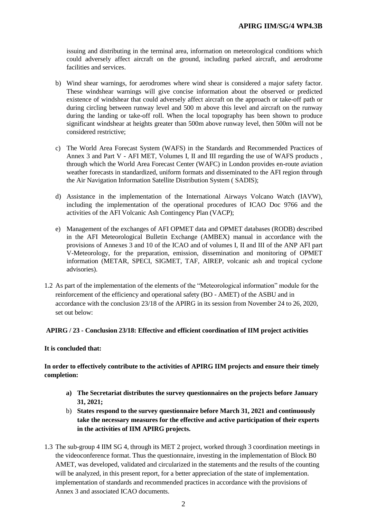issuing and distributing in the terminal area, information on meteorological conditions which could adversely affect aircraft on the ground, including parked aircraft, and aerodrome facilities and services.

- b) Wind shear warnings, for aerodromes where wind shear is considered a major safety factor. These windshear warnings will give concise information about the observed or predicted existence of windshear that could adversely affect aircraft on the approach or take-off path or during circling between runway level and 500 m above this level and aircraft on the runway during the landing or take-off roll. When the local topography has been shown to produce significant windshear at heights greater than 500m above runway level, then 500m will not be considered restrictive;
- c) The World Area Forecast System (WAFS) in the Standards and Recommended Practices of Annex 3 and Part V - AFI MET, Volumes I, II and III regarding the use of WAFS products , through which the World Area Forecast Center (WAFC) in London provides en-route aviation weather forecasts in standardized, uniform formats and disseminated to the AFI region through the Air Navigation Information Satellite Distribution System ( SADIS);
- d) Assistance in the implementation of the International Airways Volcano Watch (IAVW), including the implementation of the operational procedures of ICAO Doc 9766 and the activities of the AFI Volcanic Ash Contingency Plan (VACP);
- e) Management of the exchanges of AFI OPMET data and OPMET databases (RODB) described in the AFI Meteorological Bulletin Exchange (AMBEX) manual in accordance with the provisions of Annexes 3 and 10 of the ICAO and of volumes I, II and III of the ANP AFI part V-Meteorology, for the preparation, emission, dissemination and monitoring of OPMET information (METAR, SPECI, SIGMET, TAF, AIREP, volcanic ash and tropical cyclone advisories).
- 1.2 As part of the implementation of the elements of the "Meteorological information" module for the reinforcement of the efficiency and operational safety (BO - AMET) of the ASBU and in accordance with the conclusion 23/18 of the APIRG in its session from November 24 to 26, 2020, set out below:

#### **APIRG / 23 - Conclusion 23/18: Effective and efficient coordination of IIM project activities**

#### **It is concluded that:**

**In order to effectively contribute to the activities of APIRG IIM projects and ensure their timely completion:**

- **a) The Secretariat distributes the survey questionnaires on the projects before January 31, 2021;**
- b) **States respond to the survey questionnaire before March 31, 2021 and continuously take the necessary measures for the effective and active participation of their experts in the activities of IIM APIRG projects.**
- 1.3 The sub-group 4 IIM SG 4, through its MET 2 project, worked through 3 coordination meetings in the videoconference format. Thus the questionnaire, investing in the implementation of Block B0 AMET, was developed, validated and circularized in the statements and the results of the counting will be analyzed, in this present report, for a better appreciation of the state of implementation. implementation of standards and recommended practices in accordance with the provisions of Annex 3 and associated ICAO documents.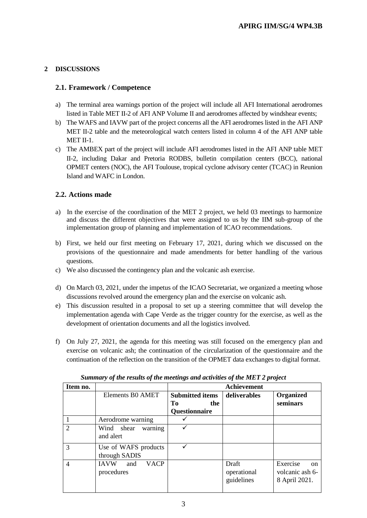# **2 DISCUSSIONS**

## **2.1. Framework / Competence**

- a) The terminal area warnings portion of the project will include all AFI International aerodromes listed in Table MET II-2 of AFI ANP Volume II and aerodromes affected by windshear events;
- b) The WAFS and IAVW part of the project concerns all the AFI aerodromes listed in the AFI ANP MET II-2 table and the meteorological watch centers listed in column 4 of the AFI ANP table MET II-1.
- c) The AMBEX part of the project will include AFI aerodromes listed in the AFI ANP table MET II-2, including Dakar and Pretoria RODBS, bulletin compilation centers (BCC), national OPMET centers (NOC), the AFI Toulouse, tropical cyclone advisory center (TCAC) in Reunion Island and WAFC in London.

## **2.2. Actions made**

- a) In the exercise of the coordination of the MET 2 project, we held 03 meetings to harmonize and discuss the different objectives that were assigned to us by the IIM sub-group of the implementation group of planning and implementation of ICAO recommendations.
- b) First, we held our first meeting on February 17, 2021, during which we discussed on the provisions of the questionnaire and made amendments for better handling of the various questions.
- c) We also discussed the contingency plan and the volcanic ash exercise.
- d) On March 03, 2021, under the impetus of the ICAO Secretariat, we organized a meeting whose discussions revolved around the emergency plan and the exercise on volcanic ash.
- e) This discussion resulted in a proposal to set up a steering committee that will develop the implementation agenda with Cape Verde as the trigger country for the exercise, as well as the development of orientation documents and all the logistics involved.
- f) On July 27, 2021, the agenda for this meeting was still focused on the emergency plan and exercise on volcanic ash; the continuation of the circularization of the questionnaire and the continuation of the reflection on the transition of the OPMET data exchanges to digital format.

| Item no.       |                                                 | <b>Achievement</b>                  |                                    |                                                               |  |
|----------------|-------------------------------------------------|-------------------------------------|------------------------------------|---------------------------------------------------------------|--|
|                | Elements BO AMET                                | <b>Submitted items</b><br>Tо<br>the | deliverables                       | Organized<br>seminars                                         |  |
|                |                                                 | Questionnaire                       |                                    |                                                               |  |
|                | Aerodrome warning                               |                                     |                                    |                                                               |  |
| $\overline{2}$ | Wind shear<br>warning<br>and alert              |                                     |                                    |                                                               |  |
| 3              | Use of WAFS products<br>through SADIS           |                                     |                                    |                                                               |  |
| $\overline{4}$ | <b>VACP</b><br><b>IAVW</b><br>and<br>procedures |                                     | Draft<br>operational<br>guidelines | Exercise<br><sub>on</sub><br>volcanic ash 6-<br>8 April 2021. |  |

|  |  |  |  |  |  | Summary of the results of the meetings and activities of the MET 2 project |
|--|--|--|--|--|--|----------------------------------------------------------------------------|
|--|--|--|--|--|--|----------------------------------------------------------------------------|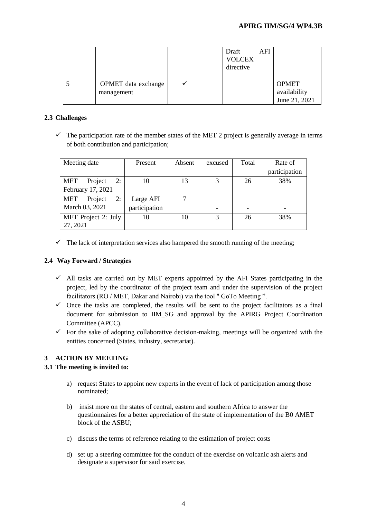|                            | Draft<br><b>VOLCEX</b><br>directive | AFI |               |
|----------------------------|-------------------------------------|-----|---------------|
| <b>OPMET</b> data exchange |                                     |     | <b>OPMET</b>  |
| management                 |                                     |     | availability  |
|                            |                                     |     | June 21, 2021 |

## **2.3 Challenges**

 $\checkmark$  The participation rate of the member states of the MET 2 project is generally average in terms of both contribution and participation;

| Meeting date         | Present       | Absent | excused | Total                    | Rate of       |
|----------------------|---------------|--------|---------|--------------------------|---------------|
|                      |               |        |         |                          | participation |
| 2:<br>MET<br>Project | 10            | 13     | 3       | 26                       | 38%           |
| February 17, 2021    |               |        |         |                          |               |
| 2:<br>MET<br>Project | Large AFI     |        |         |                          |               |
| March 03, 2021       | participation |        |         | $\overline{\phantom{0}}$ |               |
| MET Project 2: July  | 10            | 10     | 3       | 26                       | 38%           |
| 27, 2021             |               |        |         |                          |               |

 $\checkmark$  The lack of interpretation services also hampered the smooth running of the meeting;

# **2.4 Way Forward / Strategies**

- $\checkmark$  All tasks are carried out by MET experts appointed by the AFI States participating in the project, led by the coordinator of the project team and under the supervision of the project facilitators (RO / MET, Dakar and Nairobi) via the tool " GoTo Meeting ".
- $\checkmark$  Once the tasks are completed, the results will be sent to the project facilitators as a final document for submission to IIM\_SG and approval by the APIRG Project Coordination Committee (APCC).
- $\checkmark$  For the sake of adopting collaborative decision-making, meetings will be organized with the entities concerned (States, industry, secretariat).

# **3 ACTION BY MEETING**

### **3.1 The meeting is invited to:**

- a) request States to appoint new experts in the event of lack of participation among those nominated;
- b) insist more on the states of central, eastern and southern Africa to answer the questionnaires for a better appreciation of the state of implementation of the B0 AMET block of the ASBU;
- c) discuss the terms of reference relating to the estimation of project costs
- d) set up a steering committee for the conduct of the exercise on volcanic ash alerts and designate a supervisor for said exercise.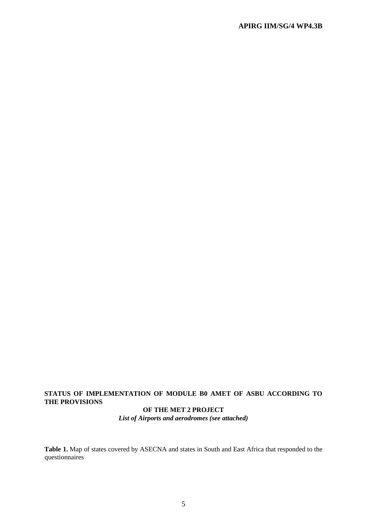# **STATUS OF IMPLEMENTATION OF MODULE B0 AMET OF ASBU ACCORDING TO THE PROVISIONS**

#### **OF THE MET 2 PROJECT** *List of Airports and aerodromes (see attached)*

**Table 1.** Map of states covered by ASECNA and states in South and East Africa that responded to the questionnaires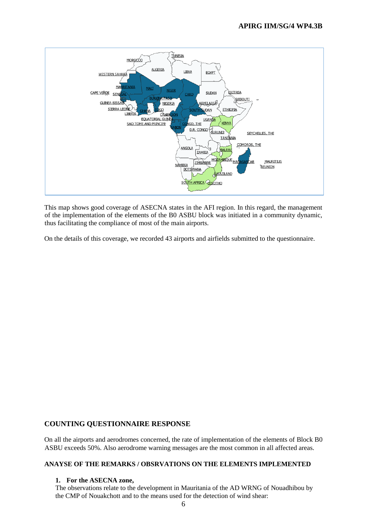

This map shows good coverage of ASECNA states in the AFI region. In this regard, the management of the implementation of the elements of the B0 ASBU block was initiated in a community dynamic, thus facilitating the compliance of most of the main airports.

On the details of this coverage, we recorded 43 airports and airfields submitted to the questionnaire.

# **COUNTING QUESTIONNAIRE RESPONSE**

On all the airports and aerodromes concerned, the rate of implementation of the elements of Block B0 ASBU exceeds 50%. Also aerodrome warning messages are the most common in all affected areas.

#### **ANAYSE OF THE REMARKS / OBSRVATIONS ON THE ELEMENTS IMPLEMENTED**

#### **1. For the ASECNA zone,**

The observations relate to the development in Mauritania of the AD WRNG of Nouadhibou by the CMP of Nouakchott and to the means used for the detection of wind shear: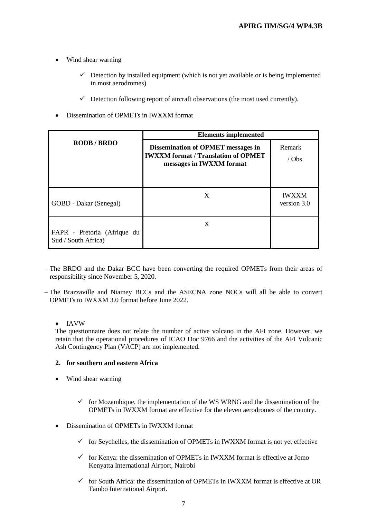- Wind shear warning
	- $\checkmark$  Detection by installed equipment (which is not yet available or is being implemented in most aerodromes)
	- $\checkmark$  Detection following report of aircraft observations (the most used currently).
- Dissemination of OPMETs in IWXXM format

|                                                    | <b>Elements implemented</b>                                                                                         |                             |  |  |
|----------------------------------------------------|---------------------------------------------------------------------------------------------------------------------|-----------------------------|--|--|
| <b>RODB/BRDO</b>                                   | <b>Dissemination of OPMET messages in</b><br><b>IWXXM</b> format / Translation of OPMET<br>messages in IWXXM format | Remark<br>$/$ Obs           |  |  |
| GOBD - Dakar (Senegal)                             | X                                                                                                                   | <b>IWXXM</b><br>version 3.0 |  |  |
| FAPR - Pretoria (Afrique du<br>Sud / South Africa) | X                                                                                                                   |                             |  |  |

- The BRDO and the Dakar BCC have been converting the required OPMETs from their areas of responsibility since November 5, 2020.
- The Brazzaville and Niamey BCCs and the ASECNA zone NOCs will all be able to convert OPMETs to IWXXM 3.0 format before June 2022.

### • IAVW

The questionnaire does not relate the number of active volcano in the AFI zone. However, we retain that the operational procedures of ICAO Doc 9766 and the activities of the AFI Volcanic Ash Contingency Plan (VACP) are not implemented.

#### **2. for southern and eastern Africa**

- Wind shear warning
	- $\checkmark$  for Mozambique, the implementation of the WS WRNG and the dissemination of the OPMETs in IWXXM format are effective for the eleven aerodromes of the country.
- Dissemination of OPMETs in IWXXM format
	- $\checkmark$  for Seychelles, the dissemination of OPMETs in IWXXM format is not yet effective
	- $\checkmark$  for Kenya: the dissemination of OPMETs in IWXXM format is effective at Jomo Kenyatta International Airport, Nairobi
	- $\checkmark$  for South Africa: the dissemination of OPMETs in IWXXM format is effective at OR Tambo International Airport.